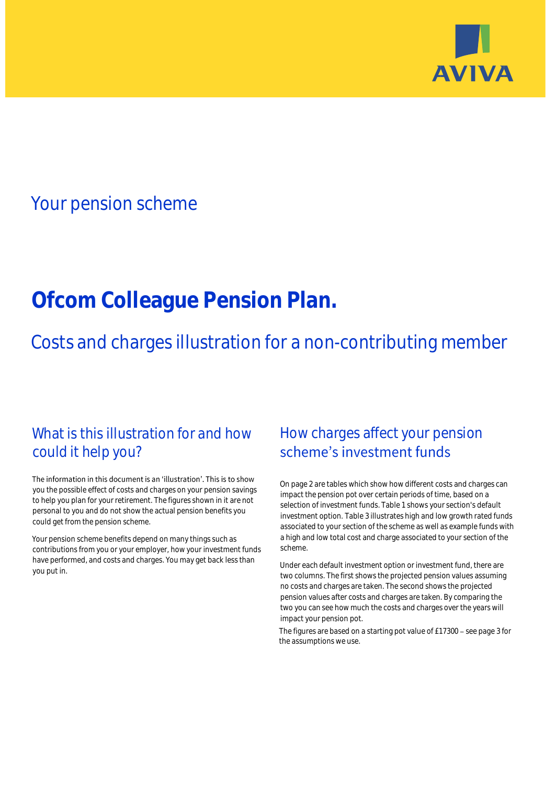

# Your pension scheme

# **Ofcom Colleague Pension Plan.**

Costs and charges illustration for a non-contributing member

# What is this illustration for and how could it help you?

### The information in this document is an 'illustration'. This is to show you the possible effect of costs and charges on your pension savings to help you plan for your retirement. The figures shown in it are not personal to you and do not show the actual pension benefits you could get from the pension scheme.

Your pension scheme benefits depend on many things such as contributions from you or your employer, how your investment funds have performed, and costs and charges. You may get back less than you put in.

# How charges affect your pension scheme's investment funds

On page 2 are tables which show how different costs and charges can impact the pension pot over certain periods of time, based on a selection of investment funds. Table 1 shows your section's default investment option. Table 3 illustrates high and low growth rated funds associated to your section of the scheme as well as example funds with a high and low total cost and charge associated to your section of the scheme.

Under each default investment option or investment fund, there are two columns. The first shows the projected pension values assuming no costs and charges are taken. The second shows the projected pension values after costs and charges are taken. By comparing the two you can see how much the costs and charges over the years will impact your pension pot.

The figures are based on a starting pot value of  $£17300 -$  see page 3 for the assumptions we use.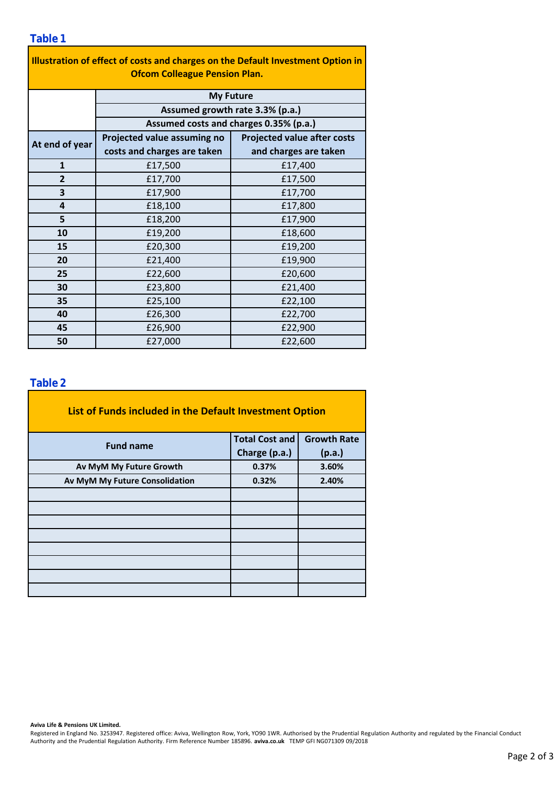| Illustration of effect of costs and charges on the Default Investment Option in |                                                                                               |                                    |  |  |  |  |  |  |  |
|---------------------------------------------------------------------------------|-----------------------------------------------------------------------------------------------|------------------------------------|--|--|--|--|--|--|--|
| <b>Ofcom Colleague Pension Plan.</b>                                            |                                                                                               |                                    |  |  |  |  |  |  |  |
|                                                                                 | <b>My Future</b><br>Assumed growth rate 3.3% (p.a.)<br>Assumed costs and charges 0.35% (p.a.) |                                    |  |  |  |  |  |  |  |
|                                                                                 |                                                                                               |                                    |  |  |  |  |  |  |  |
|                                                                                 |                                                                                               |                                    |  |  |  |  |  |  |  |
| At end of year                                                                  | Projected value assuming no                                                                   | <b>Projected value after costs</b> |  |  |  |  |  |  |  |
|                                                                                 | costs and charges are taken                                                                   | and charges are taken              |  |  |  |  |  |  |  |
| $\mathbf{1}$                                                                    | £17,500                                                                                       | £17,400                            |  |  |  |  |  |  |  |
| 2                                                                               | £17,700                                                                                       | £17,500                            |  |  |  |  |  |  |  |
| 3                                                                               | £17,900                                                                                       | £17,700                            |  |  |  |  |  |  |  |
| 4                                                                               | £18,100                                                                                       | £17,800                            |  |  |  |  |  |  |  |
| 5                                                                               | £18,200                                                                                       | £17,900                            |  |  |  |  |  |  |  |
| 10                                                                              | £19,200                                                                                       | £18,600                            |  |  |  |  |  |  |  |
| 15                                                                              | £20,300                                                                                       | £19,200                            |  |  |  |  |  |  |  |
| 20                                                                              | £21,400                                                                                       | £19,900                            |  |  |  |  |  |  |  |
| 25                                                                              | £22,600                                                                                       | £20,600                            |  |  |  |  |  |  |  |
| 30                                                                              | £23,800                                                                                       | £21,400                            |  |  |  |  |  |  |  |
| 35                                                                              | £25,100                                                                                       | £22,100                            |  |  |  |  |  |  |  |
| 40                                                                              | £26,300                                                                                       | £22,700                            |  |  |  |  |  |  |  |
| 45                                                                              | £26,900                                                                                       | £22,900                            |  |  |  |  |  |  |  |
| 50                                                                              | £27,000                                                                                       | £22,600                            |  |  |  |  |  |  |  |

### **Table 2**

| List of Funds included in the Default Investment Option |                       |                    |  |  |  |  |  |  |
|---------------------------------------------------------|-----------------------|--------------------|--|--|--|--|--|--|
| <b>Fund name</b>                                        | <b>Total Cost and</b> | <b>Growth Rate</b> |  |  |  |  |  |  |
|                                                         | Charge (p.a.)         | (p.a.)             |  |  |  |  |  |  |
| Av MyM My Future Growth                                 | 0.37%                 | 3.60%              |  |  |  |  |  |  |
| Av MyM My Future Consolidation                          | 0.32%                 | 2.40%              |  |  |  |  |  |  |
|                                                         |                       |                    |  |  |  |  |  |  |
|                                                         |                       |                    |  |  |  |  |  |  |
|                                                         |                       |                    |  |  |  |  |  |  |
|                                                         |                       |                    |  |  |  |  |  |  |
|                                                         |                       |                    |  |  |  |  |  |  |
|                                                         |                       |                    |  |  |  |  |  |  |
|                                                         |                       |                    |  |  |  |  |  |  |
|                                                         |                       |                    |  |  |  |  |  |  |

#### **Aviva Life & Pensions UK Limited.**

Registered in England No. 3253947. Registered office: Aviva, Wellington Row, York, YO90 1WR. Authorised by the Prudential Regulation Authority and regulated by the Financial Conduct Authority and the Prudential Regulation Authority. Firm Reference Number 185896. **aviva.co.uk** TEMP GFI NG071309 09/2018